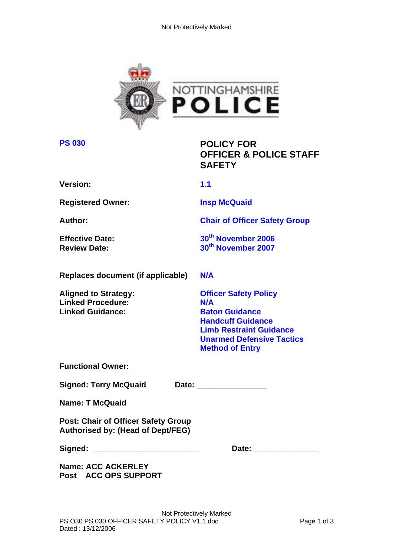

**PS 030 POLICY FOR OFFICER & POLICE STAFF SAFETY** 

**Version: 1.1** 

**Registered Owner: Insp McQuaid** 

**Author:** Chair of Officer Safety Group

**Effective Date:** 30<sup>th</sup> November 2006 **Review Date:** 30<sup>th</sup> November 2007

**Replaces document (if applicable) N/A** 

Linked Procedure: N/A **Linked Guidance:** Baton Guidance

**Aligned to Strategy: Officer Safety Policy Handcuff Guidance Limb Restraint Guidance Unarmed Defensive Tactics Method of Entry** 

**Functional Owner:** 

Signed: Terry McQuaid Date: Date:

**Name: T McQuaid** 

**Post: Chair of Officer Safety Group Authorised by: (Head of Dept/FEG)** 

**Signed: \_\_\_\_\_\_\_\_\_\_\_\_\_\_\_\_\_\_\_\_\_\_\_\_ Date:\_\_\_\_\_\_\_\_\_\_\_\_\_\_\_** 

**Name: ACC ACKERLEY Post ACC OPS SUPPORT**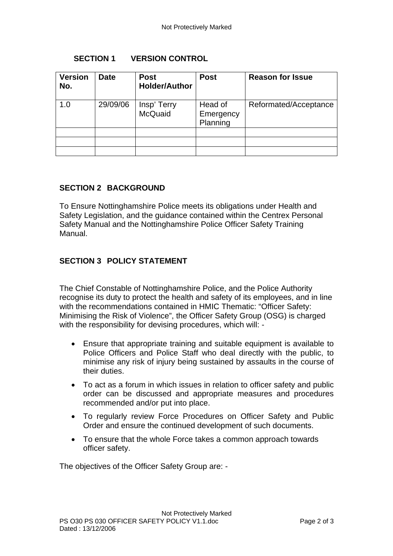#### **SECTION 1 VERSION CONTROL**

| <b>Version</b><br>No. | <b>Date</b> | <b>Post</b><br><b>Holder/Author</b> | <b>Post</b>                      | <b>Reason for Issue</b> |
|-----------------------|-------------|-------------------------------------|----------------------------------|-------------------------|
| 1.0                   | 29/09/06    | Insp' Terry<br>McQuaid              | Head of<br>Emergency<br>Planning | Reformated/Acceptance   |
|                       |             |                                     |                                  |                         |
|                       |             |                                     |                                  |                         |
|                       |             |                                     |                                  |                         |

# **SECTION 2 BACKGROUND**

To Ensure Nottinghamshire Police meets its obligations under Health and Safety Legislation, and the guidance contained within the Centrex Personal Safety Manual and the Nottinghamshire Police Officer Safety Training Manual.

# **SECTION 3 POLICY STATEMENT**

The Chief Constable of Nottinghamshire Police, and the Police Authority recognise its duty to protect the health and safety of its employees, and in line with the recommendations contained in HMIC Thematic: "Officer Safety: Minimising the Risk of Violence", the Officer Safety Group (OSG) is charged with the responsibility for devising procedures, which will: -

- Ensure that appropriate training and suitable equipment is available to Police Officers and Police Staff who deal directly with the public, to minimise any risk of injury being sustained by assaults in the course of their duties.
- To act as a forum in which issues in relation to officer safety and public order can be discussed and appropriate measures and procedures recommended and/or put into place.
- To regularly review Force Procedures on Officer Safety and Public Order and ensure the continued development of such documents.
- To ensure that the whole Force takes a common approach towards officer safety.

The objectives of the Officer Safety Group are: -